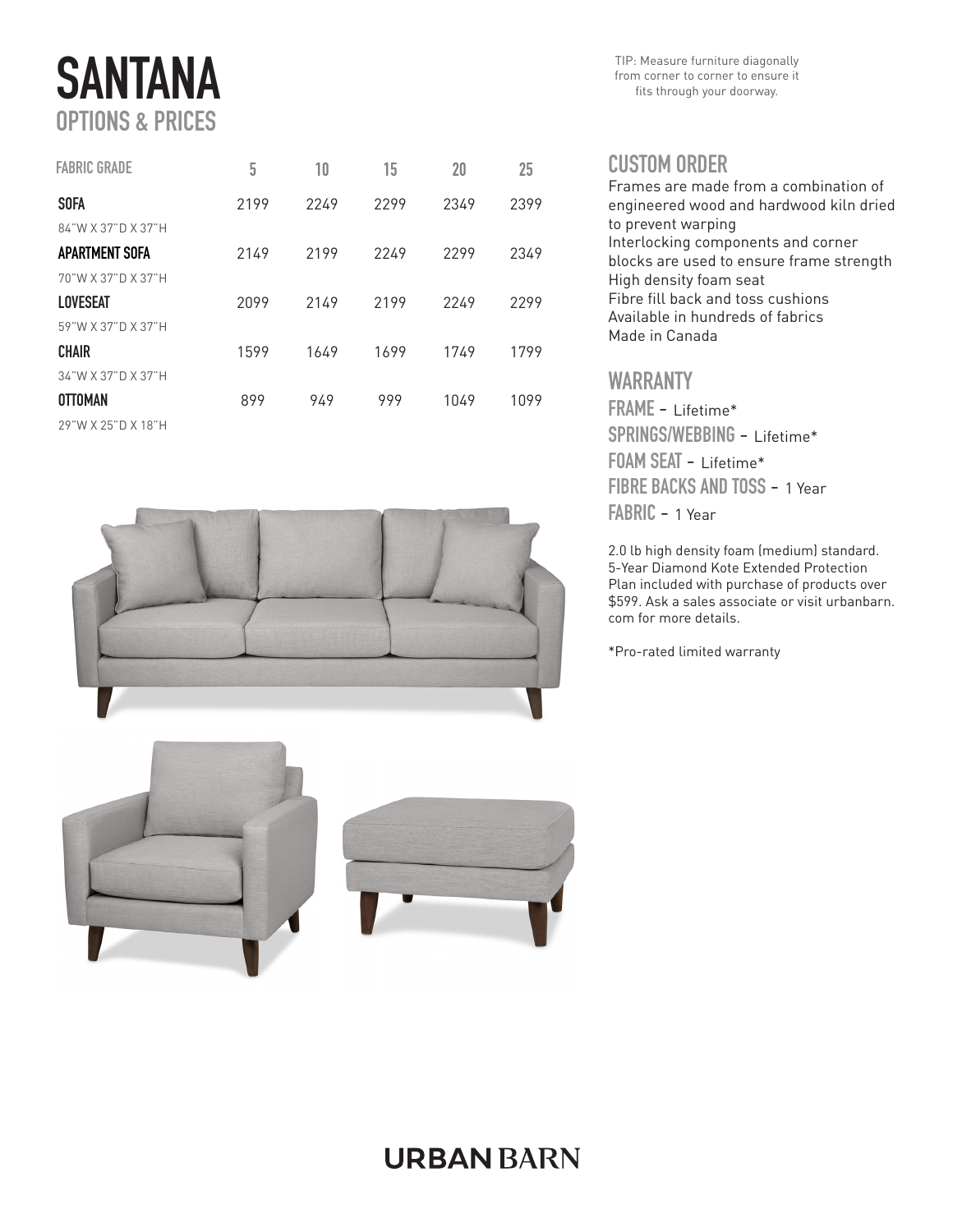# **SANTANA** OPTIONS & PRICES

| <b>FABRIC GRADE</b> | 5    | 10   | 15   | 20   | 25   |
|---------------------|------|------|------|------|------|
| <b>SOFA</b>         | 2199 | 2249 | 2299 | 2349 | 2399 |
| 84"W X 37"D X 37"H  |      |      |      |      |      |
| APARTMENT SOFA      | 2149 | 2199 | 2249 | 2299 | 2349 |
| 70"W X 37"D X 37"H  |      |      |      |      |      |
| LOVESEAT            | 2099 | 2149 | 2199 | 2249 | 2299 |
| 59"W X 37"D X 37"H  |      |      |      |      |      |
| <b>CHAIR</b>        | 1599 | 1649 | 1699 | 1749 | 1799 |
| 34"W X 37"D X 37"H  |      |      |      |      |      |
| <b>OTTOMAN</b>      | 899  | 949  | 999  | 1049 | 1099 |
| 29"W X 25"D X 18"H  |      |      |      |      |      |



TIP: Measure furniture diagonally from corner to corner to ensure it fits through your doorway.

#### CUSTOM ORDER

Frames are made from a combination of engineered wood and hardwood kiln dried to prevent warping Interlocking components and corner blocks are used to ensure frame strength High density foam seat Fibre fill back and toss cushions Available in hundreds of fabrics Made in Canada

### WARRANTY

FRAME - Lifetime\* SPRINGS/WEBBING - Lifetime\* FOAM SEAT - Lifetime\* FIBRE BACKS AND TOSS - 1 Year FABRIC - 1 Year

2.0 lb high density foam (medium) standard. 5-Year Diamond Kote Extended Protection Plan included with purchase of products over \$599. Ask a sales associate or visit urbanbarn. com for more details.

\*Pro-rated limited warranty



## **URBAN BARN**